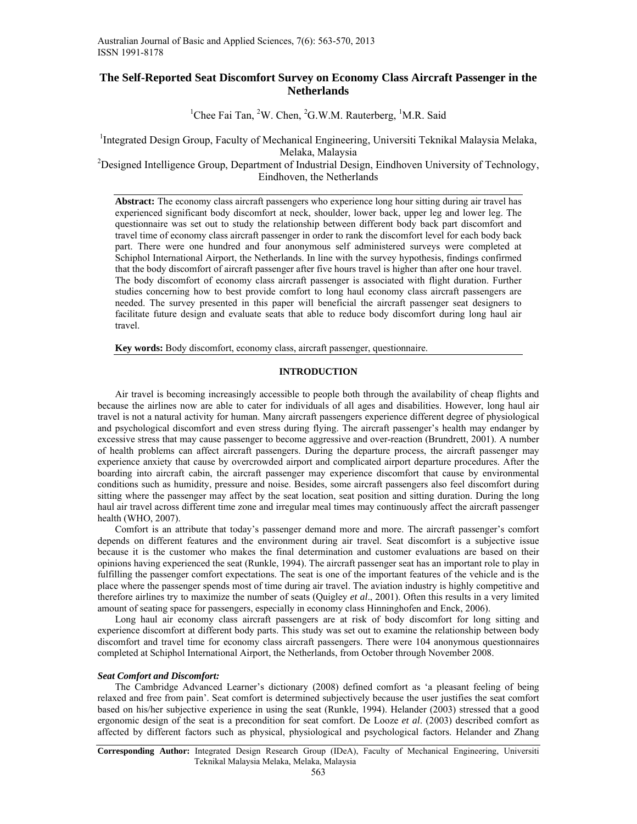# **The Self-Reported Seat Discomfort Survey on Economy Class Aircraft Passenger in the Netherlands**

<sup>1</sup>Chee Fai Tan, <sup>2</sup>W. Chen, <sup>2</sup>G.W.M. Rauterberg, <sup>1</sup>M.R. Said

<sup>1</sup>Integrated Design Group, Faculty of Mechanical Engineering, Universiti Teknikal Malaysia Melaka, Melaka, Malaysia<br><sup>2</sup>Designed Intelligence Group, Department of Industrial Design, Eindhoven University of Technology,

Eindhoven, the Netherlands

**Abstract:** The economy class aircraft passengers who experience long hour sitting during air travel has experienced significant body discomfort at neck, shoulder, lower back, upper leg and lower leg. The questionnaire was set out to study the relationship between different body back part discomfort and travel time of economy class aircraft passenger in order to rank the discomfort level for each body back part. There were one hundred and four anonymous self administered surveys were completed at Schiphol International Airport, the Netherlands. In line with the survey hypothesis, findings confirmed that the body discomfort of aircraft passenger after five hours travel is higher than after one hour travel. The body discomfort of economy class aircraft passenger is associated with flight duration. Further studies concerning how to best provide comfort to long haul economy class aircraft passengers are needed. The survey presented in this paper will beneficial the aircraft passenger seat designers to facilitate future design and evaluate seats that able to reduce body discomfort during long haul air travel.

**Key words:** Body discomfort, economy class, aircraft passenger, questionnaire.

## **INTRODUCTION**

 Air travel is becoming increasingly accessible to people both through the availability of cheap flights and because the airlines now are able to cater for individuals of all ages and disabilities. However, long haul air travel is not a natural activity for human. Many aircraft passengers experience different degree of physiological and psychological discomfort and even stress during flying. The aircraft passenger's health may endanger by excessive stress that may cause passenger to become aggressive and over-reaction (Brundrett, 2001). A number of health problems can affect aircraft passengers. During the departure process, the aircraft passenger may experience anxiety that cause by overcrowded airport and complicated airport departure procedures. After the boarding into aircraft cabin, the aircraft passenger may experience discomfort that cause by environmental conditions such as humidity, pressure and noise. Besides, some aircraft passengers also feel discomfort during sitting where the passenger may affect by the seat location, seat position and sitting duration. During the long haul air travel across different time zone and irregular meal times may continuously affect the aircraft passenger health (WHO, 2007).

 Comfort is an attribute that today's passenger demand more and more. The aircraft passenger's comfort depends on different features and the environment during air travel. Seat discomfort is a subjective issue because it is the customer who makes the final determination and customer evaluations are based on their opinions having experienced the seat (Runkle, 1994). The aircraft passenger seat has an important role to play in fulfilling the passenger comfort expectations. The seat is one of the important features of the vehicle and is the place where the passenger spends most of time during air travel. The aviation industry is highly competitive and therefore airlines try to maximize the number of seats (Quigley *et al*., 2001). Often this results in a very limited amount of seating space for passengers, especially in economy class Hinninghofen and Enck, 2006).

Long haul air economy class aircraft passengers are at risk of body discomfort for long sitting and experience discomfort at different body parts. This study was set out to examine the relationship between body discomfort and travel time for economy class aircraft passengers. There were 104 anonymous questionnaires completed at Schiphol International Airport, the Netherlands, from October through November 2008.

## *Seat Comfort and Discomfort:*

 The Cambridge Advanced Learner's dictionary (2008) defined comfort as 'a pleasant feeling of being relaxed and free from pain'. Seat comfort is determined subjectively because the user justifies the seat comfort based on his/her subjective experience in using the seat (Runkle, 1994). Helander (2003) stressed that a good ergonomic design of the seat is a precondition for seat comfort. De Looze *et al*. (2003) described comfort as affected by different factors such as physical, physiological and psychological factors. Helander and Zhang

**Corresponding Author:** Integrated Design Research Group (IDeA), Faculty of Mechanical Engineering, Universiti Teknikal Malaysia Melaka, Melaka, Malaysia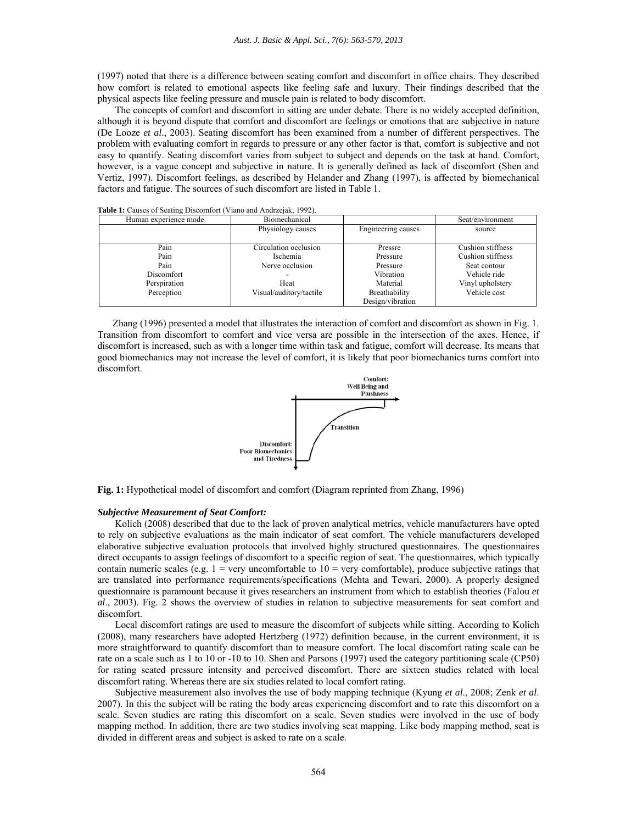(1997) noted that there is a difference between seating comfort and discomfort in office chairs. They described how comfort is related to emotional aspects like feeling safe and luxury. Their findings described that the physical aspects like feeling pressure and muscle pain is related to body discomfort.

 The concepts of comfort and discomfort in sitting are under debate. There is no widely accepted definition, although it is beyond dispute that comfort and discomfort are feelings or emotions that are subjective in nature (De Looze *et al*., 2003). Seating discomfort has been examined from a number of different perspectives. The problem with evaluating comfort in regards to pressure or any other factor is that, comfort is subjective and not easy to quantify. Seating discomfort varies from subject to subject and depends on the task at hand. Comfort, however, is a vague concept and subjective in nature. It is generally defined as lack of discomfort (Shen and Vertiz, 1997). Discomfort feelings, as described by Helander and Zhang (1997), is affected by biomechanical factors and fatigue. The sources of such discomfort are listed in Table 1.

| Human experience mode | Biomechanical           |                    | Seat/environment  |
|-----------------------|-------------------------|--------------------|-------------------|
|                       | Physiology causes       | Engineering causes | source            |
|                       |                         |                    |                   |
| Pain                  | Circulation occlusion   | Pressre            | Cushion stiffness |
| Pain                  | Ischemia                | Pressure           | Cushion stiffness |
| Pain                  | Nerve occlusion         | Pressure           | Seat contour      |
| Discomfort            |                         | Vibration          | Vehicle ride      |
| Perspiration          | Heat                    | Material           | Vinyl upholstery  |
| Perception            | Visual/auditory/tactile | Breathability      | Vehicle cost      |
|                       |                         | Design/vibration   |                   |

**Table 1:** Causes of Seating Discomfort (Viano and Andrzejak, 1992).

 Zhang (1996) presented a model that illustrates the interaction of comfort and discomfort as shown in Fig. 1. Transition from discomfort to comfort and vice versa are possible in the intersection of the axes. Hence, if discomfort is increased, such as with a longer time within task and fatigue, comfort will decrease. Its means that good biomechanics may not increase the level of comfort, it is likely that poor biomechanics turns comfort into discomfort.



**Fig. 1:** Hypothetical model of discomfort and comfort (Diagram reprinted from Zhang, 1996)

#### *Subjective Measurement of Seat Comfort:*

 Kolich (2008) described that due to the lack of proven analytical metrics, vehicle manufacturers have opted to rely on subjective evaluations as the main indicator of seat comfort. The vehicle manufacturers developed elaborative subjective evaluation protocols that involved highly structured questionnaires. The questionnaires direct occupants to assign feelings of discomfort to a specific region of seat. The questionnaires, which typically contain numeric scales (e.g.  $1 =$  very uncomfortable to  $10 =$  very comfortable), produce subjective ratings that are translated into performance requirements/specifications (Mehta and Tewari, 2000). A properly designed questionnaire is paramount because it gives researchers an instrument from which to establish theories (Falou *et al*., 2003). Fig. 2 shows the overview of studies in relation to subjective measurements for seat comfort and discomfort.

 Local discomfort ratings are used to measure the discomfort of subjects while sitting. According to Kolich (2008), many researchers have adopted Hertzberg (1972) definition because, in the current environment, it is more straightforward to quantify discomfort than to measure comfort. The local discomfort rating scale can be rate on a scale such as 1 to 10 or -10 to 10. Shen and Parsons (1997) used the category partitioning scale (CP50) for rating seated pressure intensity and perceived discomfort. There are sixteen studies related with local discomfort rating. Whereas there are six studies related to local comfort rating.

 Subjective measurement also involves the use of body mapping technique (Kyung *et al*., 2008; Zenk *et al*. 2007). In this the subject will be rating the body areas experiencing discomfort and to rate this discomfort on a scale. Seven studies are rating this discomfort on a scale. Seven studies were involved in the use of body mapping method. In addition, there are two studies involving seat mapping. Like body mapping method, seat is divided in different areas and subject is asked to rate on a scale.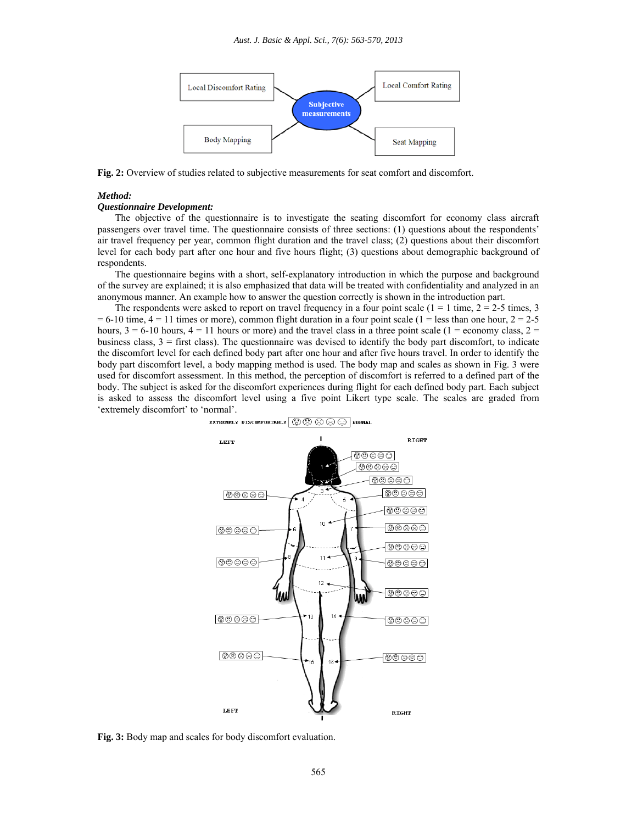

**Fig. 2:** Overview of studies related to subjective measurements for seat comfort and discomfort.

## *Method:*

## *Questionnaire Development:*

 The objective of the questionnaire is to investigate the seating discomfort for economy class aircraft passengers over travel time. The questionnaire consists of three sections: (1) questions about the respondents' air travel frequency per year, common flight duration and the travel class; (2) questions about their discomfort level for each body part after one hour and five hours flight; (3) questions about demographic background of respondents.

 The questionnaire begins with a short, self-explanatory introduction in which the purpose and background of the survey are explained; it is also emphasized that data will be treated with confidentiality and analyzed in an anonymous manner. An example how to answer the question correctly is shown in the introduction part.

The respondents were asked to report on travel frequency in a four point scale ( $1 = 1$  time,  $2 = 2-5$  times, 3  $= 6-10$  time,  $4 = 11$  times or more), common flight duration in a four point scale (1 = less than one hour, 2 = 2-5 hours,  $3 = 6-10$  hours,  $4 = 11$  hours or more) and the travel class in a three point scale (1 = economy class, 2 = business class,  $3 =$  first class). The questionnaire was devised to identify the body part discomfort, to indicate the discomfort level for each defined body part after one hour and after five hours travel. In order to identify the body part discomfort level, a body mapping method is used. The body map and scales as shown in Fig. 3 were used for discomfort assessment. In this method, the perception of discomfort is referred to a defined part of the body. The subject is asked for the discomfort experiences during flight for each defined body part. Each subject is asked to assess the discomfort level using a five point Likert type scale. The scales are graded from 'extremely discomfort' to 'normal'.



**Fig. 3:** Body map and scales for body discomfort evaluation.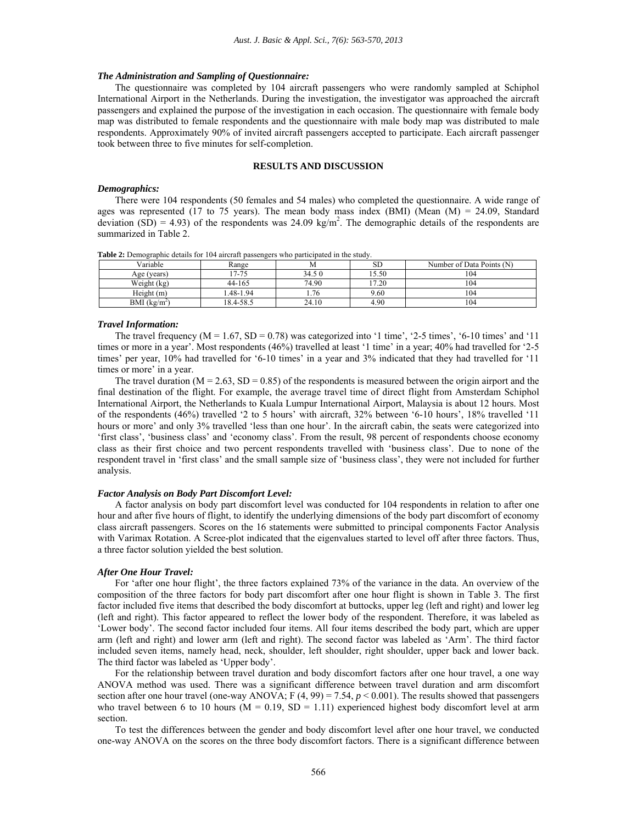#### *The Administration and Sampling of Questionnaire:*

 The questionnaire was completed by 104 aircraft passengers who were randomly sampled at Schiphol International Airport in the Netherlands. During the investigation, the investigator was approached the aircraft passengers and explained the purpose of the investigation in each occasion. The questionnaire with female body map was distributed to female respondents and the questionnaire with male body map was distributed to male respondents. Approximately 90% of invited aircraft passengers accepted to participate. Each aircraft passenger took between three to five minutes for self-completion.

## **RESULTS AND DISCUSSION**

## *Demographics:*

 There were 104 respondents (50 females and 54 males) who completed the questionnaire. A wide range of ages was represented (17 to 75 years). The mean body mass index (BMI) (Mean  $(M) = 24.09$ , Standard deviation (SD) = 4.93) of the respondents was 24.09 kg/m<sup>2</sup>. The demographic details of the respondents are summarized in Table 2.

**Table 2:** Demographic details for 104 aircraft passengers who participated in the study.<br>
Variable Range M SD  $\overline{M}$  SD Number of Data Points (N) Age (years) 17-75 34.5 0 15.50 104 Weight (kg) 44-165 74.90 17.20 104 Height (m) 1.48-1.94 1.76 9.60 104

#### *Travel Information:*

BMI  $(kg/m<sup>2</sup>)$ 

The travel frequency ( $M = 1.67$ ,  $SD = 0.78$ ) was categorized into '1 time', '2-5 times', '6-10 times' and '11 times or more in a year'. Most respondents (46%) travelled at least '1 time' in a year; 40% had travelled for '2-5 times' per year, 10% had travelled for '6-10 times' in a year and 3% indicated that they had travelled for '11 times or more' in a year.

(a)  $18.4-58.5$  24.10  $4.90$  104

The travel duration ( $M = 2.63$ ,  $SD = 0.85$ ) of the respondents is measured between the origin airport and the final destination of the flight. For example, the average travel time of direct flight from Amsterdam Schiphol International Airport, the Netherlands to Kuala Lumpur International Airport, Malaysia is about 12 hours. Most of the respondents (46%) travelled '2 to 5 hours' with aircraft, 32% between '6-10 hours', 18% travelled '11 hours or more' and only 3% travelled 'less than one hour'. In the aircraft cabin, the seats were categorized into 'first class', 'business class' and 'economy class'. From the result, 98 percent of respondents choose economy class as their first choice and two percent respondents travelled with 'business class'. Due to none of the respondent travel in 'first class' and the small sample size of 'business class', they were not included for further analysis.

#### *Factor Analysis on Body Part Discomfort Level:*

 A factor analysis on body part discomfort level was conducted for 104 respondents in relation to after one hour and after five hours of flight, to identify the underlying dimensions of the body part discomfort of economy class aircraft passengers. Scores on the 16 statements were submitted to principal components Factor Analysis with Varimax Rotation. A Scree-plot indicated that the eigenvalues started to level off after three factors. Thus, a three factor solution yielded the best solution.

## *After One Hour Travel:*

 For 'after one hour flight', the three factors explained 73% of the variance in the data. An overview of the composition of the three factors for body part discomfort after one hour flight is shown in Table 3. The first factor included five items that described the body discomfort at buttocks, upper leg (left and right) and lower leg (left and right). This factor appeared to reflect the lower body of the respondent. Therefore, it was labeled as 'Lower body'. The second factor included four items. All four items described the body part, which are upper arm (left and right) and lower arm (left and right). The second factor was labeled as 'Arm'. The third factor included seven items, namely head, neck, shoulder, left shoulder, right shoulder, upper back and lower back. The third factor was labeled as 'Upper body'.

 For the relationship between travel duration and body discomfort factors after one hour travel, a one way ANOVA method was used. There was a significant difference between travel duration and arm discomfort section after one hour travel (one-way ANOVA; F  $(4, 99) = 7.54$ ,  $p < 0.001$ ). The results showed that passengers who travel between 6 to 10 hours ( $M = 0.19$ ,  $SD = 1.11$ ) experienced highest body discomfort level at arm section.

 To test the differences between the gender and body discomfort level after one hour travel, we conducted one-way ANOVA on the scores on the three body discomfort factors. There is a significant difference between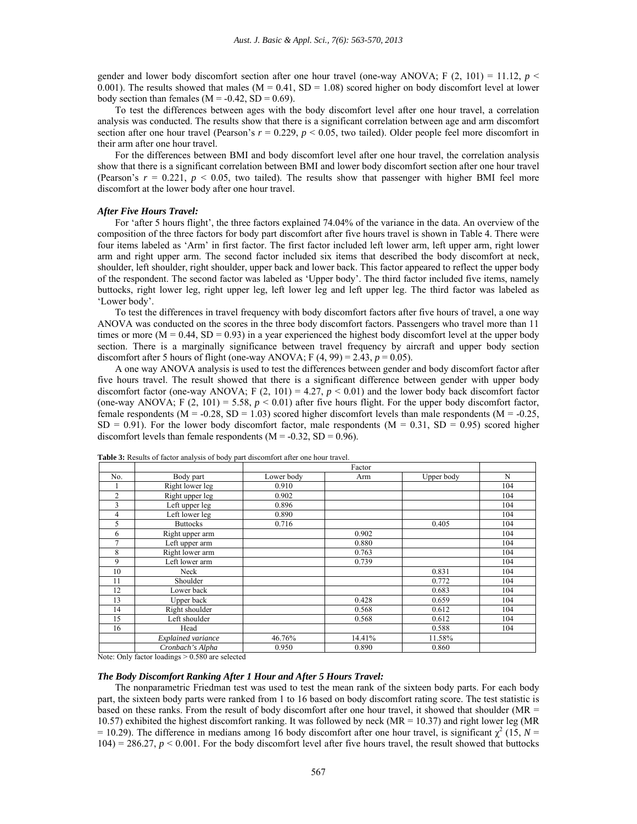gender and lower body discomfort section after one hour travel (one-way ANOVA; F  $(2, 101) = 11.12$ ,  $p \le$ 0.001). The results showed that males ( $M = 0.41$ ,  $SD = 1.08$ ) scored higher on body discomfort level at lower body section than females ( $M = -0.42$ ,  $SD = 0.69$ ).

 To test the differences between ages with the body discomfort level after one hour travel, a correlation analysis was conducted. The results show that there is a significant correlation between age and arm discomfort section after one hour travel (Pearson's  $r = 0.229$ ,  $p < 0.05$ , two tailed). Older people feel more discomfort in their arm after one hour travel.

 For the differences between BMI and body discomfort level after one hour travel, the correlation analysis show that there is a significant correlation between BMI and lower body discomfort section after one hour travel (Pearson's  $r = 0.221$ ,  $p < 0.05$ , two tailed). The results show that passenger with higher BMI feel more discomfort at the lower body after one hour travel.

### *After Five Hours Travel:*

 For 'after 5 hours flight', the three factors explained 74.04% of the variance in the data. An overview of the composition of the three factors for body part discomfort after five hours travel is shown in Table 4. There were four items labeled as 'Arm' in first factor. The first factor included left lower arm, left upper arm, right lower arm and right upper arm. The second factor included six items that described the body discomfort at neck, shoulder, left shoulder, right shoulder, upper back and lower back. This factor appeared to reflect the upper body of the respondent. The second factor was labeled as 'Upper body'. The third factor included five items, namely buttocks, right lower leg, right upper leg, left lower leg and left upper leg. The third factor was labeled as 'Lower body'.

 To test the differences in travel frequency with body discomfort factors after five hours of travel, a one way ANOVA was conducted on the scores in the three body discomfort factors. Passengers who travel more than 11 times or more  $(M = 0.44, SD = 0.93)$  in a year experienced the highest body discomfort level at the upper body section. There is a marginally significance between travel frequency by aircraft and upper body section discomfort after 5 hours of flight (one-way ANOVA;  $F(4, 99) = 2.43$ ,  $p = 0.05$ ).

 A one way ANOVA analysis is used to test the differences between gender and body discomfort factor after five hours travel. The result showed that there is a significant difference between gender with upper body discomfort factor (one-way ANOVA; F  $(2, 101) = 4.27$ ,  $p < 0.01$ ) and the lower body back discomfort factor (one-way ANOVA; F  $(2, 101) = 5.58$ ,  $p < 0.01$ ) after five hours flight. For the upper body discomfort factor, female respondents ( $M = -0.28$ ,  $SD = 1.03$ ) scored higher discomfort levels than male respondents ( $M = -0.25$ ,  $SD = 0.91$ . For the lower body discomfort factor, male respondents ( $M = 0.31$ ,  $SD = 0.95$ ) scored higher discomfort levels than female respondents  $(M = -0.32, SD = 0.96)$ .

|                |                    | Factor     |        |            |     |
|----------------|--------------------|------------|--------|------------|-----|
| No.            | Body part          | Lower body | Arm    | Upper body | N   |
|                | Right lower leg    | 0.910      |        |            | 104 |
| $\overline{c}$ | Right upper leg    | 0.902      |        |            | 104 |
| 3              | Left upper leg     | 0.896      |        |            | 104 |
| 4              | Left lower leg     | 0.890      |        |            | 104 |
| 5              | <b>Buttocks</b>    | 0.716      |        | 0.405      | 104 |
| 6              | Right upper arm    |            | 0.902  |            | 104 |
| 7              | Left upper arm     |            | 0.880  |            | 104 |
| 8              | Right lower arm    |            | 0.763  |            | 104 |
| 9              | Left lower arm     |            | 0.739  |            | 104 |
| 10             | Neck               |            |        | 0.831      | 104 |
| 11             | Shoulder           |            |        | 0.772      | 104 |
| 12             | Lower back         |            |        | 0.683      | 104 |
| 13             | Upper back         |            | 0.428  | 0.659      | 104 |
| 14             | Right shoulder     |            | 0.568  | 0.612      | 104 |
| 15             | Left shoulder      |            | 0.568  | 0.612      | 104 |
| 16             | Head               |            |        | 0.588      | 104 |
|                | Explained variance | 46.76%     | 14.41% | 11.58%     |     |
|                | Cronbach's Alpha   | 0.950      | 0.890  | 0.860      |     |

**Table 3:** Results of factor analysis of body part discomfort after one hour travel.

Note: Only factor loadings > 0.580 are selected

## *The Body Discomfort Ranking After 1 Hour and After 5 Hours Travel:*

 The nonparametric Friedman test was used to test the mean rank of the sixteen body parts. For each body part, the sixteen body parts were ranked from 1 to 16 based on body discomfort rating score. The test statistic is based on these ranks. From the result of body discomfort after one hour travel, it showed that shoulder (MR = 10.57) exhibited the highest discomfort ranking. It was followed by neck (MR = 10.37) and right lower leg (MR  $= 10.29$ ). The difference in medians among 16 body discomfort after one hour travel, is significant  $\chi^2$  (15, *N* =  $104$ ) = 286.27,  $p < 0.001$ . For the body discomfort level after five hours travel, the result showed that buttocks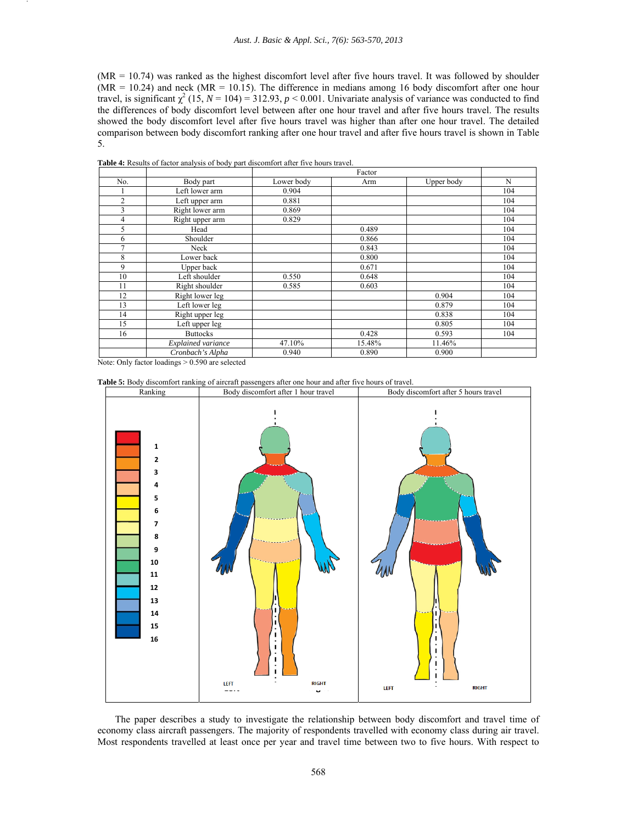(MR = 10.74) was ranked as the highest discomfort level after five hours travel. It was followed by shoulder  $(MR = 10.24)$  and neck  $(MR = 10.15)$ . The difference in medians among 16 body discomfort after one hour travel, is significant  $\chi^2$  (15, *N* = 104) = 312.93, *p* < 0.001. Univariate analysis of variance was conducted to find the differences of body discomfort level between after one hour travel and after five hours travel. The results showed the body discomfort level after five hours travel was higher than after one hour travel. The detailed comparison between body discomfort ranking after one hour travel and after five hours travel is shown in Table 5.

|                |                    | Factor     |        |            |     |
|----------------|--------------------|------------|--------|------------|-----|
| No.            | Body part          | Lower body | Arm    | Upper body | N   |
|                | Left lower arm     | 0.904      |        |            | 104 |
| $\overline{2}$ | Left upper arm     | 0.881      |        |            | 104 |
| 3              | Right lower arm    | 0.869      |        |            | 104 |
| 4              | Right upper arm    | 0.829      |        |            | 104 |
| 5              | Head               |            | 0.489  |            | 104 |
| 6              | Shoulder           |            | 0.866  |            | 104 |
| $\overline{7}$ | Neck               |            | 0.843  |            | 104 |
| 8              | Lower back         |            | 0.800  |            | 104 |
| 9              | Upper back         |            | 0.671  |            | 104 |
| 10             | Left shoulder      | 0.550      | 0.648  |            | 104 |
| 11             | Right shoulder     | 0.585      | 0.603  |            | 104 |
| 12             | Right lower leg    |            |        | 0.904      | 104 |
| 13             | Left lower leg     |            |        | 0.879      | 104 |
| 14             | Right upper leg    |            |        | 0.838      | 104 |
| 15             | Left upper leg     |            |        | 0.805      | 104 |
| 16             | <b>Buttocks</b>    |            | 0.428  | 0.593      | 104 |
|                | Explained variance | 47.10%     | 15.48% | 11.46%     |     |
|                | Cronbach's Alpha   | 0.940      | 0.890  | 0.900      |     |

**Table 4:** Results of factor analysis of body part discomfort after five hours travel.

Note: Only factor loadings > 0.590 are selected





 The paper describes a study to investigate the relationship between body discomfort and travel time of economy class aircraft passengers. The majority of respondents travelled with economy class during air travel.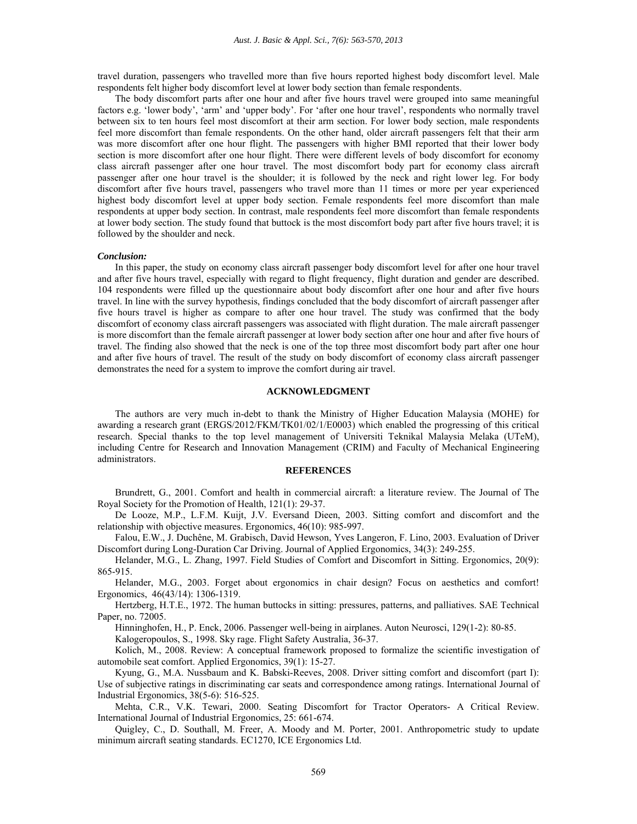travel duration, passengers who travelled more than five hours reported highest body discomfort level. Male respondents felt higher body discomfort level at lower body section than female respondents.

 The body discomfort parts after one hour and after five hours travel were grouped into same meaningful factors e.g. 'lower body', 'arm' and 'upper body'. For 'after one hour travel', respondents who normally travel between six to ten hours feel most discomfort at their arm section. For lower body section, male respondents feel more discomfort than female respondents. On the other hand, older aircraft passengers felt that their arm was more discomfort after one hour flight. The passengers with higher BMI reported that their lower body section is more discomfort after one hour flight. There were different levels of body discomfort for economy class aircraft passenger after one hour travel. The most discomfort body part for economy class aircraft passenger after one hour travel is the shoulder; it is followed by the neck and right lower leg. For body discomfort after five hours travel, passengers who travel more than 11 times or more per year experienced highest body discomfort level at upper body section. Female respondents feel more discomfort than male respondents at upper body section. In contrast, male respondents feel more discomfort than female respondents at lower body section. The study found that buttock is the most discomfort body part after five hours travel; it is followed by the shoulder and neck.

## *Conclusion:*

 In this paper, the study on economy class aircraft passenger body discomfort level for after one hour travel and after five hours travel, especially with regard to flight frequency, flight duration and gender are described. 104 respondents were filled up the questionnaire about body discomfort after one hour and after five hours travel. In line with the survey hypothesis, findings concluded that the body discomfort of aircraft passenger after five hours travel is higher as compare to after one hour travel. The study was confirmed that the body discomfort of economy class aircraft passengers was associated with flight duration. The male aircraft passenger is more discomfort than the female aircraft passenger at lower body section after one hour and after five hours of travel. The finding also showed that the neck is one of the top three most discomfort body part after one hour and after five hours of travel. The result of the study on body discomfort of economy class aircraft passenger demonstrates the need for a system to improve the comfort during air travel.

### **ACKNOWLEDGMENT**

 The authors are very much in-debt to thank the Ministry of Higher Education Malaysia (MOHE) for awarding a research grant (ERGS/2012/FKM/TK01/02/1/E0003) which enabled the progressing of this critical research. Special thanks to the top level management of Universiti Teknikal Malaysia Melaka (UTeM), including Centre for Research and Innovation Management (CRIM) and Faculty of Mechanical Engineering administrators.

## **REFERENCES**

Brundrett, G., 2001. Comfort and health in commercial aircraft: a literature review. The Journal of The Royal Society for the Promotion of Health, 121(1): 29-37.

De Looze, M.P., L.F.M. Kuijt, J.V. Eversand Dieen, 2003. Sitting comfort and discomfort and the relationship with objective measures. Ergonomics, 46(10): 985-997.

Falou, E.W., J. Duchêne, M. Grabisch, David Hewson, Yves Langeron, F. Lino, 2003. Evaluation of Driver Discomfort during Long-Duration Car Driving. Journal of Applied Ergonomics, 34(3): 249-255.

Helander, M.G., L. Zhang, 1997. Field Studies of Comfort and Discomfort in Sitting. Ergonomics, 20(9): 865-915.

Helander, M.G., 2003. Forget about ergonomics in chair design? Focus on aesthetics and comfort! Ergonomics, 46(43/14): 1306-1319.

Hertzberg, H.T.E., 1972. The human buttocks in sitting: pressures, patterns, and palliatives. SAE Technical Paper, no. 72005.

Hinninghofen, H., P. Enck, 2006. Passenger well-being in airplanes. Auton Neurosci, 129(1-2): 80-85.

Kalogeropoulos, S., 1998. Sky rage. Flight Safety Australia, 36-37.

Kolich, M., 2008. Review: A conceptual framework proposed to formalize the scientific investigation of automobile seat comfort. Applied Ergonomics, 39(1): 15-27.

Kyung, G., M.A. Nussbaum and K. Babski-Reeves, 2008. Driver sitting comfort and discomfort (part I): Use of subjective ratings in discriminating car seats and correspondence among ratings. International Journal of Industrial Ergonomics, 38(5-6): 516-525.

Mehta, C.R., V.K. Tewari, 2000. Seating Discomfort for Tractor Operators- A Critical Review. International Journal of Industrial Ergonomics, 25: 661-674.

Quigley, C., D. Southall, M. Freer, A. Moody and M. Porter, 2001. Anthropometric study to update minimum aircraft seating standards. EC1270, ICE Ergonomics Ltd.